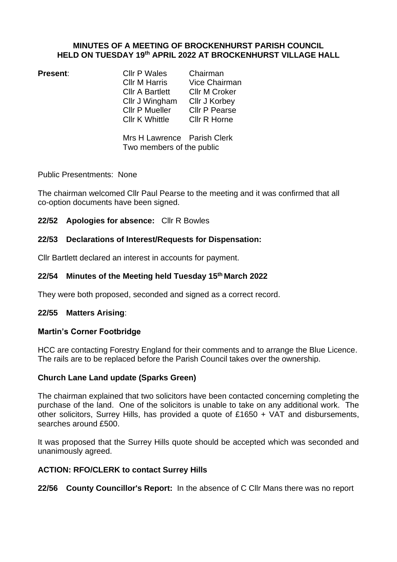### **MINUTES OF A MEETING OF BROCKENHURST PARISH COUNCIL HELD ON TUESDAY 19 th APRIL 2022 AT BROCKENHURST VILLAGE HALL**

| <b>Present:</b> | <b>CIIr P Wales</b><br><b>CIIr M Harris</b><br><b>Cllr A Bartlett</b><br>Cllr J Wingham<br><b>Cllr P Mueller</b> | Chairman<br>Vice Chairman<br><b>Cllr M Croker</b><br>Cllr J Korbey<br><b>Cllr P Pearse</b> |
|-----------------|------------------------------------------------------------------------------------------------------------------|--------------------------------------------------------------------------------------------|
|                 | Cllr K Whittle                                                                                                   | Cllr R Horne                                                                               |

Mrs H Lawrence Parish Clerk Two members of the public

Public Presentments: None

The chairman welcomed Cllr Paul Pearse to the meeting and it was confirmed that all co-option documents have been signed.

**22/52 Apologies for absence:** Cllr R Bowles

#### **22/53 Declarations of Interest/Requests for Dispensation:**

Cllr Bartlett declared an interest in accounts for payment.

### **22/54 Minutes of the Meeting held Tuesday 15 th March 2022**

They were both proposed, seconded and signed as a correct record.

#### **22/55 Matters Arising**:

#### **Martin's Corner Footbridge**

HCC are contacting Forestry England for their comments and to arrange the Blue Licence. The rails are to be replaced before the Parish Council takes over the ownership.

#### **Church Lane Land update (Sparks Green)**

The chairman explained that two solicitors have been contacted concerning completing the purchase of the land. One of the solicitors is unable to take on any additional work. The other solicitors, Surrey Hills, has provided a quote of £1650 + VAT and disbursements, searches around £500.

It was proposed that the Surrey Hills quote should be accepted which was seconded and unanimously agreed.

### **ACTION: RFO/CLERK to contact Surrey Hills**

**22/56 County Councillor's Report:** In the absence of C Cllr Mans there was no report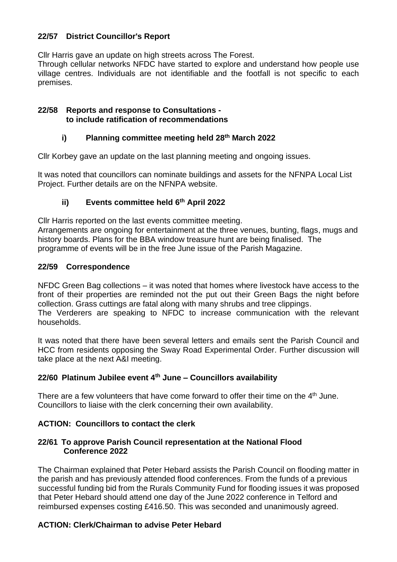# **22/57 District Councillor's Report**

Cllr Harris gave an update on high streets across The Forest.

Through cellular networks NFDC have started to explore and understand how people use village centres. Individuals are not identifiable and the footfall is not specific to each premises.

#### **22/58 Reports and response to Consultations to include ratification of recommendations**

## **i) Planning committee meeting held 28th March 2022**

Cllr Korbey gave an update on the last planning meeting and ongoing issues.

It was noted that councillors can nominate buildings and assets for the NFNPA Local List Project. Further details are on the NFNPA website.

# **ii) Events committee held 6 th April 2022**

Cllr Harris reported on the last events committee meeting.

Arrangements are ongoing for entertainment at the three venues, bunting, flags, mugs and history boards. Plans for the BBA window treasure hunt are being finalised. The programme of events will be in the free June issue of the Parish Magazine.

## **22/59 Correspondence**

NFDC Green Bag collections – it was noted that homes where livestock have access to the front of their properties are reminded not the put out their Green Bags the night before collection. Grass cuttings are fatal along with many shrubs and tree clippings. The Verderers are speaking to NFDC to increase communication with the relevant households.

It was noted that there have been several letters and emails sent the Parish Council and HCC from residents opposing the Sway Road Experimental Order. Further discussion will take place at the next A&I meeting.

# **22/60 Platinum Jubilee event 4th June – Councillors availability**

There are a few volunteers that have come forward to offer their time on the 4<sup>th</sup> June. Councillors to liaise with the clerk concerning their own availability.

# **ACTION: Councillors to contact the clerk**

### **22/61 To approve Parish Council representation at the National Flood Conference 2022**

The Chairman explained that Peter Hebard assists the Parish Council on flooding matter in the parish and has previously attended flood conferences. From the funds of a previous successful funding bid from the Rurals Community Fund for flooding issues it was proposed that Peter Hebard should attend one day of the June 2022 conference in Telford and reimbursed expenses costing £416.50. This was seconded and unanimously agreed.

# **ACTION: Clerk/Chairman to advise Peter Hebard**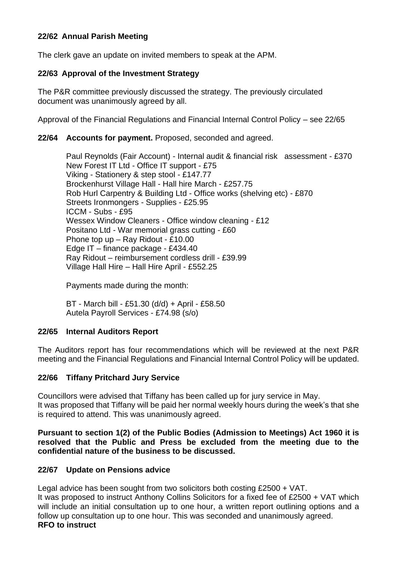## **22/62 Annual Parish Meeting**

The clerk gave an update on invited members to speak at the APM.

## **22/63 Approval of the Investment Strategy**

The P&R committee previously discussed the strategy. The previously circulated document was unanimously agreed by all.

Approval of the Financial Regulations and Financial Internal Control Policy – see 22/65

## **22/64 Accounts for payment.** Proposed, seconded and agreed.

Paul Reynolds (Fair Account) - Internal audit & financial risk assessment - £370 New Forest IT Ltd - Office IT support - £75 Viking - Stationery & step stool - £147.77 Brockenhurst Village Hall - Hall hire March - £257.75 Rob Hurl Carpentry & Building Ltd - Office works (shelving etc) - £870 Streets Ironmongers - Supplies - £25.95 ICCM - Subs - £95 Wessex Window Cleaners - Office window cleaning - £12 Positano Ltd - War memorial grass cutting - £60 Phone top up – Ray Ridout - £10.00 Edge IT – finance package - £434.40 Ray Ridout – reimbursement cordless drill - £39.99 Village Hall Hire – Hall Hire April - £552.25

Payments made during the month:

BT - March bill - £51.30 (d/d) + April - £58.50 Autela Payroll Services - £74.98 (s/o)

### **22/65 Internal Auditors Report**

The Auditors report has four recommendations which will be reviewed at the next P&R meeting and the Financial Regulations and Financial Internal Control Policy will be updated.

# **22/66 Tiffany Pritchard Jury Service**

Councillors were advised that Tiffany has been called up for jury service in May. It was proposed that Tiffany will be paid her normal weekly hours during the week's that she is required to attend. This was unanimously agreed.

**Pursuant to section 1(2) of the Public Bodies (Admission to Meetings) Act 1960 it is resolved that the Public and Press be excluded from the meeting due to the confidential nature of the business to be discussed.**

# **22/67 Update on Pensions advice**

Legal advice has been sought from two solicitors both costing £2500 + VAT.

It was proposed to instruct Anthony Collins Solicitors for a fixed fee of £2500 + VAT which will include an initial consultation up to one hour, a written report outlining options and a follow up consultation up to one hour. This was seconded and unanimously agreed. **RFO to instruct**